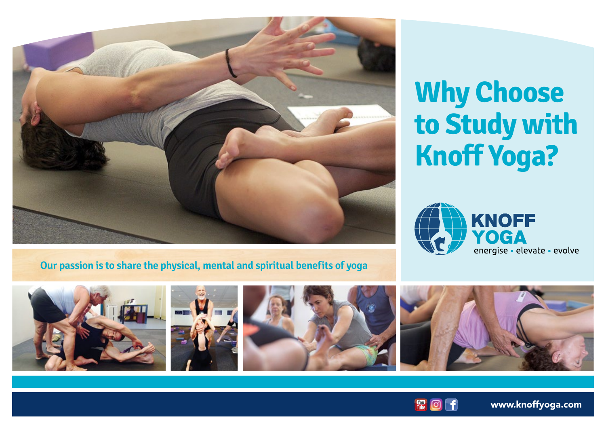

# **Why Choose to Study with Knoff Yoga?**



**Our passion is to share the physical, mental and spiritual benefits of yoga**











[www.knoffyoga.com](https://www.knoffyoga.com/)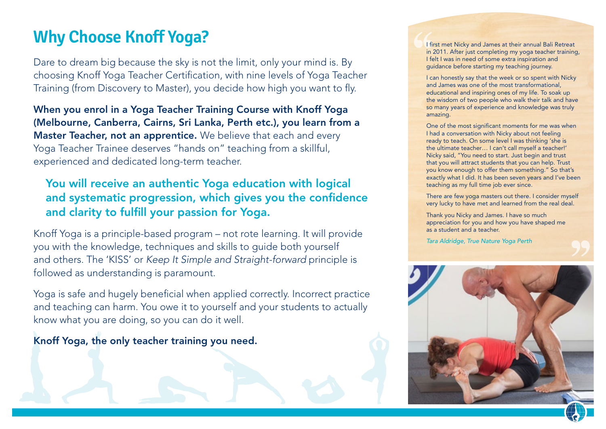# **Why Choose Knoff Yoga?**

Dare to dream big because the sky is not the limit, only your mind is. By choosing Knoff Yoga Teacher Certification, with nine levels of Yoga Teacher Training (from Discovery to Master), you decide how high you want to fly.

When you enrol in a Yoga Teacher Training Course with Knoff Yoga (Melbourne, Canberra, Cairns, Sri Lanka, Perth etc.), you learn from a Master Teacher, not an apprentice. We believe that each and every Yoga Teacher Trainee deserves "hands on" teaching from a skillful, experienced and dedicated long-term teacher.

### You will receive an authentic Yoga education with logical and systematic progression, which gives you the confidence and clarity to fulfill your passion for Yoga.

Knoff Yoga is a principle-based program – not rote learning. It will provide you with the knowledge, techniques and skills to guide both yourself and others. The 'KISS' or *Keep It Simple and Straight-forward* principle is followed as understanding is paramount.

Yoga is safe and hugely beneficial when applied correctly. Incorrect practice and teaching can harm. You owe it to yourself and your students to actually know what you are doing, so you can do it well.

Knoff Yoga, the only teacher training you need.

I first met Nicky and James at their annual Bali Retreat in 2011. After just completing my yoga teacher training, I felt I was in need of some extra inspiration and guidance before starting my teaching journey.

I can honestly say that the week or so spent with Nicky and James was one of the most transformational, educational and inspiring ones of my life. To soak up the wisdom of two people who walk their talk and have so many years of experience and knowledge was truly amazing.

One of the most significant moments for me was when I had a conversation with Nicky about not feeling ready to teach. On some level I was thinking 'she is the ultimate teacher… I can't call myself a teacher!' Nicky said, "You need to start. Just begin and trust that you will attract students that you can help. Trust you know enough to offer them something." So that's exactly what I did. It has been seven years and I've been teaching as my full time job ever since.

There are few yoga masters out there. I consider myself very lucky to have met and learned from the real deal.

Thank you Nicky and James. I have so much appreciation for you and how you have shaped me as a student and a teacher.

*Tara Aldridge, True Nature Yoga Perth*

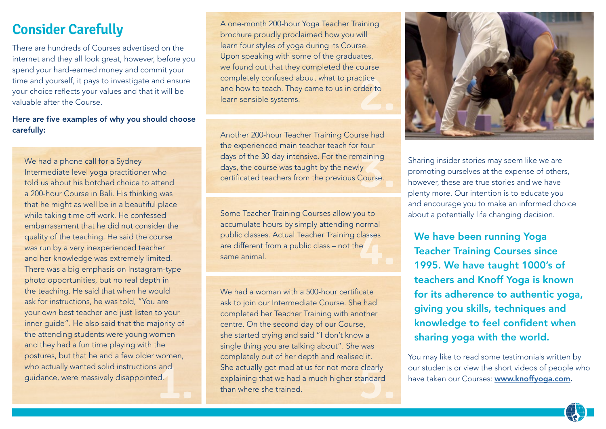### **Consider Carefully**

There are hundreds of Courses advertised on the internet and they all look great, however, before you spend your hard-earned money and commit your time and yourself, it pays to investigate and ensure your choice reflects your values and that it will be valuable after the Course.

#### Here are five examples of why you should choose carefully:

**and**<br>**d.** We had a phone call for a Sydney Intermediate level yoga practitioner who told us about his botched choice to attend a 200-hour Course in Bali. His thinking was that he might as well be in a beautiful place while taking time off work. He confessed embarrassment that he did not consider the quality of the teaching. He said the course was run by a very inexperienced teacher and her knowledge was extremely limited. There was a big emphasis on Instagram-type photo opportunities, but no real depth in the teaching. He said that when he would ask for instructions, he was told, "You are your own best teacher and just listen to your inner guide". He also said that the majority of the attending students were young women and they had a fun time playing with the postures, but that he and a few older women, who actually wanted solid instructions and guidance, were massively disappointed.

ctice<br>rder to<br><u>2.</u><br>2. <u>2.</u> A one-month 200-hour Yoga Teacher Training brochure proudly proclaimed how you will learn four styles of yoga during its Course. Upon speaking with some of the graduates, we found out that they completed the course completely confused about what to practice and how to teach. They came to us in order to learn sensible systems.

days of the 30-day intensive. For the remaining<br>days, the course was taught by the newly<br>certificated teachers from the previous Course. Another 200-hour Teacher Training Course had the experienced main teacher teach for four days, the course was taught by the newly certificated teachers from the previous Course.

public classes. Actual Teacher Training classes<br>are different from a public class – not the<br>same animal. Some Teacher Training Courses allow you to accumulate hours by simply attending normal are different from a public class – not the same animal.

She actually got mad at us for not more clearly<br>
explaining that we had a much higher standard<br>
than where she trained. We had a woman with a 500-hour certificate ask to join our Intermediate Course. She had completed her Teacher Training with another centre. On the second day of our Course, she started crying and said "I don't know a single thing you are talking about". She was completely out of her depth and realised it. explaining that we had a much higher standard than where she trained.



Sharing insider stories may seem like we are promoting ourselves at the expense of others, however, these are true stories and we have plenty more. Our intention is to educate you and encourage you to make an informed choice about a potentially life changing decision.

We have been running Yoga Teacher Training Courses since 1995. We have taught 1000's of teachers and Knoff Yoga is known for its adherence to authentic yoga, giving you skills, techniques and knowledge to feel confident when sharing yoga with the world.

You may like to read some testimonials written by our students or view the short videos of people who have taken our Courses: [www.knoffyoga.com](https://www.knoffyoga.com/).

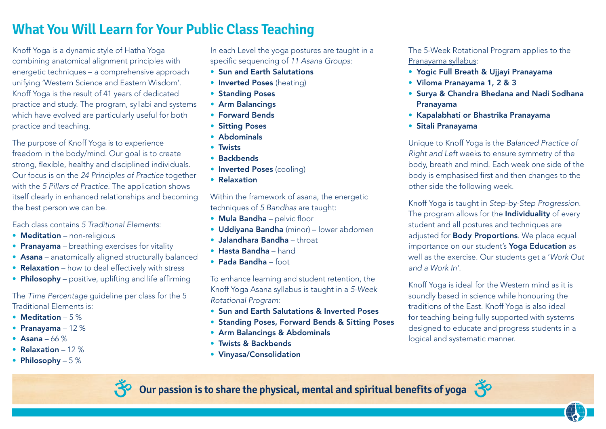## **What You Will Learn for Your Public Class Teaching**

Knoff Yoga is a dynamic style of Hatha Yoga combining anatomical alignment principles with energetic techniques – a comprehensive approach unifying 'Western Science and Eastern Wisdom'. Knoff Yoga is the result of 41 years of dedicated practice and study. The program, syllabi and systems which have evolved are particularly useful for both practice and teaching.

The purpose of Knoff Yoga is to experience freedom in the body/mind. Our goal is to create strong, flexible, healthy and disciplined individuals. Our focus is on the *24 Principles of Practice* together with the *5 Pillars of Practice*. The application shows itself clearly in enhanced relationships and becoming the best person we can be.

#### Each class contains *5 Traditional Elements*:

- Meditation non-religious
- Pranayama breathing exercises for vitality
- Asana anatomically aligned structurally balanced
- Relaxation how to deal effectively with stress
- Philosophy positive, uplifting and life affirming

#### The *Time Percentage* guideline per class for the 5 Traditional Elements is:

- Meditation 5%
- Pranayama 12 %
- Asana  $66\%$
- Relaxation 12 %
- Philosophy 5 %

In each Level the yoga postures are taught in a specific sequencing of *11 Asana Groups*:

- Sun and Earth Salutations
- Inverted Poses (heating)
- Standing Poses
- Arm Balancings
- Forward Bends
- Sitting Poses
- Abdominals
- Twists
- Backbends
- Inverted Poses (cooling)
- Relaxation

Within the framework of asana, the energetic techniques of *5 Bandhas* are taught:

- Mula Bandha pelvic floor
- Uddiyana Bandha (minor) lower abdomen
- Jalandhara Bandha throat
- Hasta Bandha hand
- Pada Bandha foot

To enhance learning and student retention, the Knoff Yoga Asana syllabus is taught in a *5-Week Rotational Program*:

- Sun and Earth Salutations & Inverted Poses
- Standing Poses, Forward Bends & Sitting Poses
- Arm Balancings & Abdominals
- Twists & Backbends
- Vinyasa/Consolidation

The 5-Week Rotational Program applies to the Pranayama syllabus:

- Yogic Full Breath & Ujjayi Pranayama
- Viloma Pranayama 1, 2 & 3
- Surya & Chandra Bhedana and Nadi Sodhana Pranayama
- Kapalabhati or Bhastrika Pranayama
- Sitali Pranayama

Unique to Knoff Yoga is the *Balanced Practice of Right and Left* weeks to ensure symmetry of the body, breath and mind. Each week one side of the body is emphasised first and then changes to the other side the following week.

Knoff Yoga is taught in *Step-by-Step Progression*. The program allows for the **Individuality** of every student and all postures and techniques are adjusted for **Body Proportions**. We place equal importance on our student's Yoga Education as well as the exercise. Our students get a '*Work Out and a Work In'*.

Knoff Yoga is ideal for the Western mind as it is soundly based in science while honouring the traditions of the East. Knoff Yoga is also ideal for teaching being fully supported with systems designed to educate and progress students in a logical and systematic manner.



**Our passion is to share the physical, mental and spiritual benefits of yoga** 

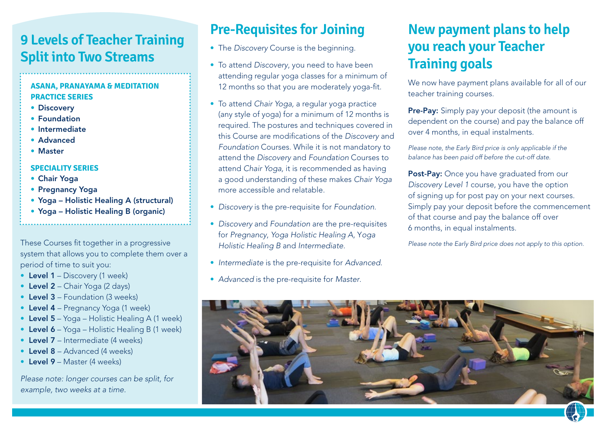### **9 Levels of Teacher Training Split into Two Streams**

#### **ASANA, PRANAYAMA & MEDITATION PRACTICE SERIES**

- Discovery
- Foundation
- Intermediate
- Advanced
- Master

#### **SPECIALITY SERIES**

- Chair Yoga
- Pregnancy Yoga
- Yoga Holistic Healing A (structural)
- Yoga Holistic Healing B (organic)

These Courses fit together in a progressive system that allows you to complete them over a period of time to suit you:

- Level 1 Discovery (1 week)
- Level 2 Chair Yoga (2 days)
- Level 3 Foundation (3 weeks)
- Level 4 Pregnancy Yoga (1 week)
- Level 5 Yoga Holistic Healing A (1 week)
- Level 6 Yoga Holistic Healing B (1 week)
- Level 7 Intermediate (4 weeks)
- Level 8 Advanced (4 weeks)
- Level 9 Master (4 weeks)

*Please note: longer courses can be split, for example, two weeks at a time.*

# **Pre-Requisites for Joining**

- The *Discovery* Course is the beginning.
- To attend *Discovery*, you need to have been attending regular yoga classes for a minimum of 12 months so that you are moderately yoga-fit.
- To attend *Chair Yoga,* a regular yoga practice (any style of yoga) for a minimum of 12 months is required. The postures and techniques covered in this Course are modifications of the *Discovery* and *Foundation* Courses. While it is not mandatory to attend the *Discovery* and *Foundation* Courses to attend *Chair Yoga,* it is recommended as having a good understanding of these makes *Chair Yoga* more accessible and relatable.
- *Discovery* is the pre-requisite for *Foundation*.
- *Discovery* and *Foundation* are the pre-requisites for *Pregnancy*, *Yoga Holistic Healing A*, Y*oga Holistic Healing B* and *Intermediate*.
- *Intermediate* is the pre-requisite for *Advanced*.
- *Advanced* is the pre-requisite for *Master*.

# **New payment plans to help you reach your Teacher Training goals**

We now have payment plans available for all of our teacher training courses.

Pre-Pay: Simply pay your deposit (the amount is dependent on the course) and pay the balance off over 4 months, in equal instalments.

*Please note, the Early Bird price is only applicable if the balance has been paid off before the cut-off date.*

Post-Pay: Once you have graduated from our *Discovery Level 1* course, you have the option of signing up for post pay on your next courses. Simply pay your deposit before the commencement of that course and pay the balance off over 6 months, in equal instalments.

*Please note the Early Bird price does not apply to this option.*

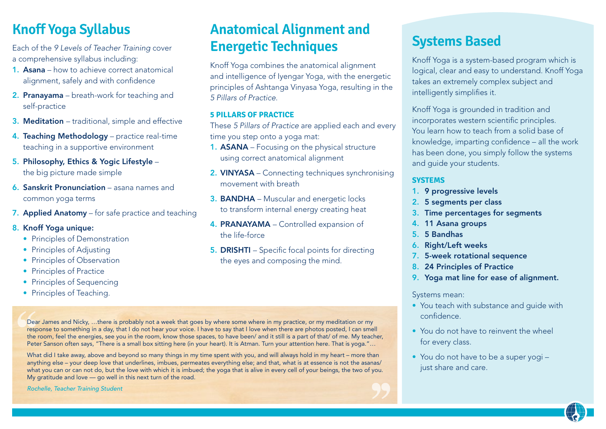# **Knoff Yoga Syllabus**

Each of the *9 Levels of Teacher Training* cover a comprehensive syllabus including:

- 1. Asana how to achieve correct anatomical alignment, safely and with confidence
- 2. Pranayama breath-work for teaching and self-practice
- 3. Meditation traditional, simple and effective
- 4. Teaching Methodology practice real-time teaching in a supportive environment
- 5. Philosophy, Ethics & Yogic Lifestyle the big picture made simple
- 6. Sanskrit Pronunciation asana names and common yoga terms
- 7. Applied Anatomy for safe practice and teaching
- 8. Knoff Yoga unique:
	- Principles of Demonstration
	- Principles of Adiusting
	- Principles of Observation
	- Principles of Practice
	- Principles of Sequencing
	- Principles of Teaching.

### **Anatomical Alignment and Energetic Techniques**

Knoff Yoga combines the anatomical alignment and intelligence of Iyengar Yoga, with the energetic principles of Ashtanga Vinyasa Yoga, resulting in the *5 Pillars of Practice*.

#### **5 PILLARS OF PRACTICE**

These *5 Pillars of Practice* are applied each and every time you step onto a yoga mat:

- 1. **ASANA** Focusing on the physical structure using correct anatomical alignment
- 2. VINYASA Connecting techniques synchronising movement with breath
- 3. BANDHA Muscular and energetic locks to transform internal energy creating heat
- 4. PRANAYAMA Controlled expansion of the life-force
- 5. DRISHTI Specific focal points for directing the eyes and composing the mind.

### **Systems Based**

Knoff Yoga is a system-based program which is logical, clear and easy to understand. Knoff Yoga takes an extremely complex subject and intelligently simplifies it.

Knoff Yoga is grounded in tradition and incorporates western scientific principles. You learn how to teach from a solid base of knowledge, imparting confidence – all the work has been done, you simply follow the systems and guide your students.

#### **SYSTEMS**

- 1. 9 progressive levels
- 2. 5 segments per class
- 3. Time percentages for segments
- 4. 11 Asana groups
- 5. 5 Bandhas
- 6. Right/Left weeks
- 7. 5-week rotational sequence
- 8. 24 Principles of Practice
- 9. Yoga mat line for ease of alignment.

#### Systems mean:

- You teach with substance and guide with confidence.
- You do not have to reinvent the wheel for every class.
- You do not have to be a super yogi just share and care.

Dear James and Nicky, …there is probably not a week that goes by where some where in my practice, or my meditation or my response to something in a day, that I do not hear your voice. I have to say that I love when there are photos posted, I can smell the room, feel the energies, see you in the room, know those spaces, to have been/ and it still is a part of that/ of me. My teacher, Peter Sanson often says, "There is a small box sitting here (in your heart). It is Atman. Turn your attention here. That is yoga."...

What did I take away, above and beyond so many things in my time spent with you, and will always hold in my heart – more than anything else – your deep love that underlines, imbues, permeates everything else; and that, what is at essence is not the asanas/ what you can or can not do, but the love with which it is imbued; the yoga that is alive in every cell of your beings, the two of you. My gratitude and love — go well in this next turn of the road.

*Rochelle, Teacher Training Student*

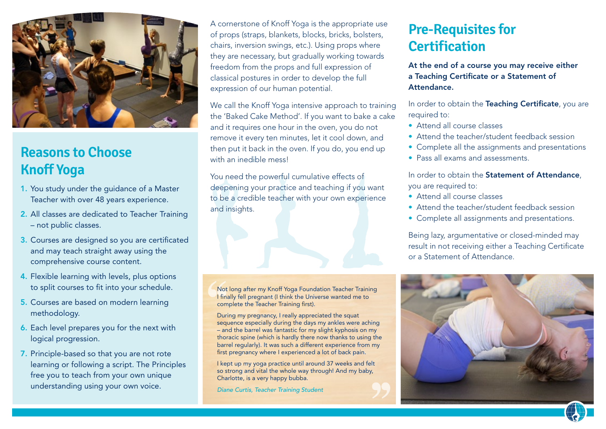

# **Reasons to Choose Knoff Yoga**

- 1. You study under the guidance of a Master Teacher with over 48 years experience.
- 2. All classes are dedicated to Teacher Training – not public classes.
- 3. Courses are designed so you are certificated and may teach straight away using the comprehensive course content.
- 4. Flexible learning with levels, plus options to split courses to fit into your schedule.
- 5. Courses are based on modern learning methodology.
- 6. Each level prepares you for the next with logical progression.
- 7. Principle-based so that you are not rote learning or following a script. The Principles free you to teach from your own unique understanding using your own voice.

A cornerstone of Knoff Yoga is the appropriate use of props (straps, blankets, blocks, bricks, bolsters, chairs, inversion swings, etc.). Using props where they are necessary, but gradually working towards freedom from the props and full expression of classical postures in order to develop the full expression of our human potential.

We call the Knoff Yoga intensive approach to training the 'Baked Cake Method'. If you want to bake a cake and it requires one hour in the oven, you do not remove it every ten minutes, let it cool down, and then put it back in the oven. If you do, you end up with an inedible mess!

You need the powerful cumulative effects of deepening your practice and teaching if you want to be a credible teacher with your own experience and insights.

Not long after my Knoff Yoga Foundation Teacher Training I finally fell pregnant (I think the Universe wanted me to complete the Teacher Training first).

During my pregnancy, I really appreciated the squat sequence especially during the days my ankles were aching – and the barrel was fantastic for my slight kyphosis on my thoracic spine (which is hardly there now thanks to using the barrel regularly). It was such a different experience from my first pregnancy where I experienced a lot of back pain.

I kept up my yoga practice until around 37 weeks and felt so strong and vital the whole way through! And my baby, Charlotte, is a very happy bubba.

*Diane Curtis, Teacher Training Student*

### **Pre-Requisites for Certification**

At the end of a course you may receive either a Teaching Certificate or a Statement of Attendance.

In order to obtain the Teaching Certificate, you are required to:

- Attend all course classes
- Attend the teacher/student feedback session
- Complete all the assignments and presentations
- Pass all exams and assessments.

In order to obtain the Statement of Attendance, you are required to:

- Attend all course classes
- Attend the teacher/student feedback session
- Complete all assignments and presentations.

Being lazy, argumentative or closed-minded may result in not receiving either a Teaching Certificate or a Statement of Attendance.

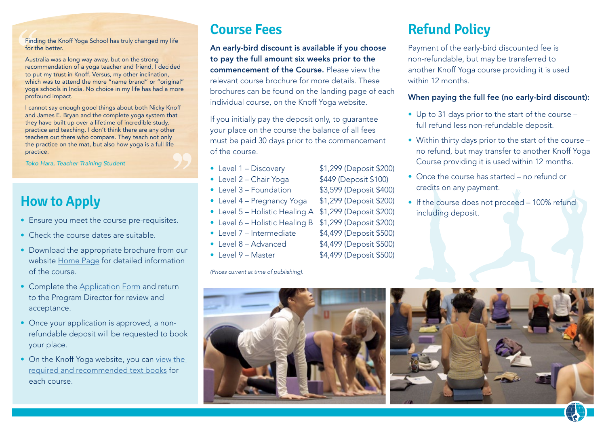Finding the Knoff Yoga School has truly changed my life for the better.

Australia was a long way away, but on the strong recommendation of a yoga teacher and friend, I decided to put my trust in Knoff. Versus, my other inclination, which was to attend the more "name brand" or "original" yoga schools in India. No choice in my life has had a more profound impact.

I cannot say enough good things about both Nicky Knoff and James E. Bryan and the complete yoga system that they have built up over a lifetime of incredible study, practice and teaching. I don't think there are any other teachers out there who compare. They teach not only the practice on the mat, but also how yoga is a full life practice.

*Toko Hara, Teacher Training Student*

### **How to Apply**

- Ensure you meet the course pre-requisites.
- Check the course dates are suitable.
- Download the appropriate brochure from our website [Home Page](https://www.knoffyoga.com/) for detailed information of the course.
- Complete the [Application Form](https://www.knoffyoga.com/teachers-registration/) and return to the Program Director for review and acceptance.
- Once your application is approved, a nonrefundable deposit will be requested to book your place.
- On the Knoff Yoga website, you can view the [required and recommended text books](https://www.knoffyoga.com/recommended-book-list/) for each course.

### **Course Fees**

An early-bird discount is available if you choose to pay the full amount six weeks prior to the commencement of the Course. Please view the relevant course brochure for more details. These brochures can be found on the landing page of each individual course, on the Knoff Yoga website.

If you initially pay the deposit only, to guarantee your place on the course the balance of all fees must be paid 30 days prior to the commencement of the course.

- Level 1 Discovery \$1,299 (Deposit \$200)
- Level 2 Chair Yoga \$449 (Deposit \$100)
- Level 3 Foundation \$3,599 (Deposit \$400)
- Level 4 Pregnancy Yoga \$1,299 (Deposit \$200)
- Level 5 Holistic Healing A \$1,299 (Deposit \$200)
- Level 6 Holistic Healing B \$1,299 (Deposit \$200)
- Level 7 Intermediate \$4,499 (Deposit \$500)
- $\bullet$  Level 8 Advanced  $$4,499$  (Deposit \$500)
- Level  $9 Master$   $$4,499$  (Deposit  $$500$ )

*(Prices current at time of publishing).*

# **Refund Policy**

Payment of the early-bird discounted fee is non-refundable, but may be transferred to another Knoff Yoga course providing it is used within 12 months

#### When paying the full fee (no early-bird discount):

- Up to 31 days prior to the start of the course full refund less non-refundable deposit.
- Within thirty days prior to the start of the course no refund, but may transfer to another Knoff Yoga Course providing it is used within 12 months.
- Once the course has started no refund or credits on any payment.
- If the course does not proceed 100% refund including deposit.